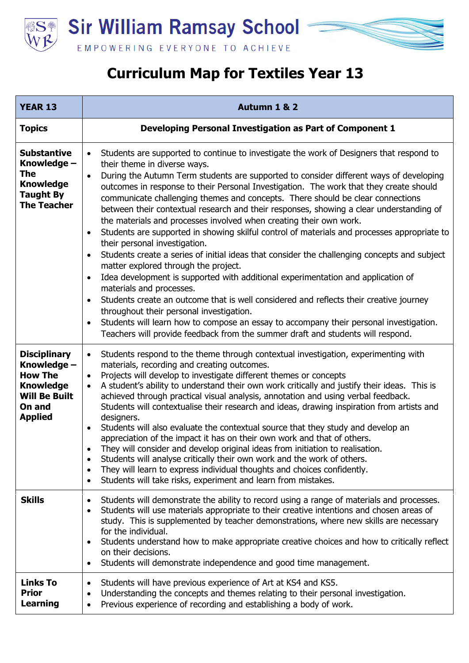

## **Curriculum Map for Textiles Year 13**

| <b>YEAR 13</b>                                                                                                               | Autumn 1 & 2                                                                                                                                                                                                                                                                                                                                                                                                                                                                                                                                                                                                                                                                                                                                                                                                                                                                                                                                                                                                                                                                                                                                                                                                                                                                                                                                                         |
|------------------------------------------------------------------------------------------------------------------------------|----------------------------------------------------------------------------------------------------------------------------------------------------------------------------------------------------------------------------------------------------------------------------------------------------------------------------------------------------------------------------------------------------------------------------------------------------------------------------------------------------------------------------------------------------------------------------------------------------------------------------------------------------------------------------------------------------------------------------------------------------------------------------------------------------------------------------------------------------------------------------------------------------------------------------------------------------------------------------------------------------------------------------------------------------------------------------------------------------------------------------------------------------------------------------------------------------------------------------------------------------------------------------------------------------------------------------------------------------------------------|
| <b>Topics</b>                                                                                                                | Developing Personal Investigation as Part of Component 1                                                                                                                                                                                                                                                                                                                                                                                                                                                                                                                                                                                                                                                                                                                                                                                                                                                                                                                                                                                                                                                                                                                                                                                                                                                                                                             |
| <b>Substantive</b><br>Knowledge -<br>The<br><b>Knowledge</b><br><b>Taught By</b><br><b>The Teacher</b>                       | Students are supported to continue to investigate the work of Designers that respond to<br>$\bullet$<br>their theme in diverse ways.<br>During the Autumn Term students are supported to consider different ways of developing<br>$\bullet$<br>outcomes in response to their Personal Investigation. The work that they create should<br>communicate challenging themes and concepts. There should be clear connections<br>between their contextual research and their responses, showing a clear understanding of<br>the materials and processes involved when creating their own work.<br>Students are supported in showing skilful control of materials and processes appropriate to<br>$\bullet$<br>their personal investigation.<br>Students create a series of initial ideas that consider the challenging concepts and subject<br>$\bullet$<br>matter explored through the project.<br>Idea development is supported with additional experimentation and application of<br>$\bullet$<br>materials and processes.<br>Students create an outcome that is well considered and reflects their creative journey<br>$\bullet$<br>throughout their personal investigation.<br>Students will learn how to compose an essay to accompany their personal investigation.<br>$\bullet$<br>Teachers will provide feedback from the summer draft and students will respond. |
| <b>Disciplinary</b><br>Knowledge -<br><b>How The</b><br><b>Knowledge</b><br><b>Will Be Built</b><br>On and<br><b>Applied</b> | Students respond to the theme through contextual investigation, experimenting with<br>$\bullet$<br>materials, recording and creating outcomes.<br>Projects will develop to investigate different themes or concepts<br>$\bullet$<br>A student's ability to understand their own work critically and justify their ideas. This is<br>$\bullet$<br>achieved through practical visual analysis, annotation and using verbal feedback.<br>Students will contextualise their research and ideas, drawing inspiration from artists and<br>designers.<br>Students will also evaluate the contextual source that they study and develop an<br>$\bullet$<br>appreciation of the impact it has on their own work and that of others.<br>They will consider and develop original ideas from initiation to realisation.<br>Students will analyse critically their own work and the work of others.<br>$\bullet$<br>They will learn to express individual thoughts and choices confidently.<br>$\bullet$<br>Students will take risks, experiment and learn from mistakes.<br>$\bullet$                                                                                                                                                                                                                                                                                            |
| <b>Skills</b>                                                                                                                | Students will demonstrate the ability to record using a range of materials and processes.<br>$\bullet$<br>Students will use materials appropriate to their creative intentions and chosen areas of<br>$\bullet$<br>study. This is supplemented by teacher demonstrations, where new skills are necessary<br>for the individual.<br>Students understand how to make appropriate creative choices and how to critically reflect<br>$\bullet$<br>on their decisions.<br>Students will demonstrate independence and good time management.<br>$\bullet$                                                                                                                                                                                                                                                                                                                                                                                                                                                                                                                                                                                                                                                                                                                                                                                                                   |
| <b>Links To</b><br><b>Prior</b><br><b>Learning</b>                                                                           | Students will have previous experience of Art at KS4 and KS5.<br>$\bullet$<br>Understanding the concepts and themes relating to their personal investigation.<br>$\bullet$<br>Previous experience of recording and establishing a body of work.<br>$\bullet$                                                                                                                                                                                                                                                                                                                                                                                                                                                                                                                                                                                                                                                                                                                                                                                                                                                                                                                                                                                                                                                                                                         |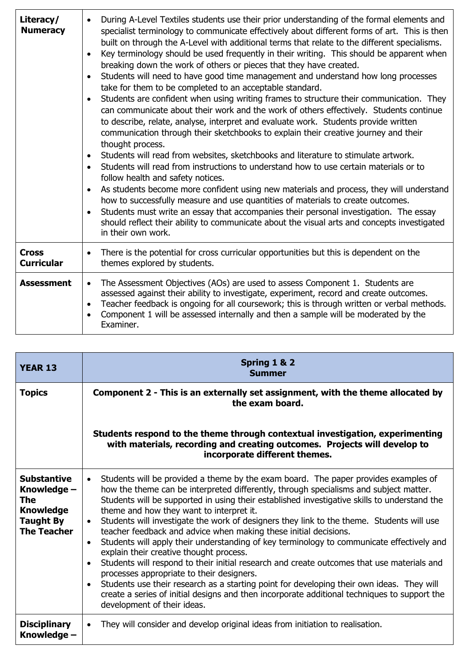| Literacy/<br><b>Numeracy</b>      | During A-Level Textiles students use their prior understanding of the formal elements and<br>$\bullet$<br>specialist terminology to communicate effectively about different forms of art. This is then<br>built on through the A-Level with additional terms that relate to the different specialisms.<br>Key terminology should be used frequently in their writing. This should be apparent when<br>$\bullet$<br>breaking down the work of others or pieces that they have created.<br>Students will need to have good time management and understand how long processes<br>$\bullet$<br>take for them to be completed to an acceptable standard.<br>Students are confident when using writing frames to structure their communication. They<br>$\bullet$<br>can communicate about their work and the work of others effectively. Students continue<br>to describe, relate, analyse, interpret and evaluate work. Students provide written<br>communication through their sketchbooks to explain their creative journey and their<br>thought process.<br>Students will read from websites, sketchbooks and literature to stimulate artwork.<br>$\bullet$<br>Students will read from instructions to understand how to use certain materials or to<br>$\bullet$<br>follow health and safety notices.<br>As students become more confident using new materials and process, they will understand<br>$\bullet$<br>how to successfully measure and use quantities of materials to create outcomes.<br>Students must write an essay that accompanies their personal investigation. The essay<br>$\bullet$<br>should reflect their ability to communicate about the visual arts and concepts investigated<br>in their own work. |
|-----------------------------------|-----------------------------------------------------------------------------------------------------------------------------------------------------------------------------------------------------------------------------------------------------------------------------------------------------------------------------------------------------------------------------------------------------------------------------------------------------------------------------------------------------------------------------------------------------------------------------------------------------------------------------------------------------------------------------------------------------------------------------------------------------------------------------------------------------------------------------------------------------------------------------------------------------------------------------------------------------------------------------------------------------------------------------------------------------------------------------------------------------------------------------------------------------------------------------------------------------------------------------------------------------------------------------------------------------------------------------------------------------------------------------------------------------------------------------------------------------------------------------------------------------------------------------------------------------------------------------------------------------------------------------------------------------------------------------------------------------------------------------|
| <b>Cross</b><br><b>Curricular</b> | There is the potential for cross curricular opportunities but this is dependent on the<br>$\bullet$<br>themes explored by students.                                                                                                                                                                                                                                                                                                                                                                                                                                                                                                                                                                                                                                                                                                                                                                                                                                                                                                                                                                                                                                                                                                                                                                                                                                                                                                                                                                                                                                                                                                                                                                                         |
| <b>Assessment</b>                 | The Assessment Objectives (AOs) are used to assess Component 1. Students are<br>$\bullet$<br>assessed against their ability to investigate, experiment, record and create outcomes.<br>Teacher feedback is ongoing for all coursework; this is through written or verbal methods.<br>$\bullet$<br>Component 1 will be assessed internally and then a sample will be moderated by the<br>$\bullet$<br>Examiner.                                                                                                                                                                                                                                                                                                                                                                                                                                                                                                                                                                                                                                                                                                                                                                                                                                                                                                                                                                                                                                                                                                                                                                                                                                                                                                              |

| <b>YEAR 13</b>                                                                                         | Spring 1 & 2<br><b>Summer</b>                                                                                                                                                                                                                                                                                                                                                                                                                                                                                                                                                                                                                                                                                                                                                                                                                                                                                                                                                                                                                                             |
|--------------------------------------------------------------------------------------------------------|---------------------------------------------------------------------------------------------------------------------------------------------------------------------------------------------------------------------------------------------------------------------------------------------------------------------------------------------------------------------------------------------------------------------------------------------------------------------------------------------------------------------------------------------------------------------------------------------------------------------------------------------------------------------------------------------------------------------------------------------------------------------------------------------------------------------------------------------------------------------------------------------------------------------------------------------------------------------------------------------------------------------------------------------------------------------------|
| <b>Topics</b>                                                                                          | Component 2 - This is an externally set assignment, with the theme allocated by<br>the exam board.                                                                                                                                                                                                                                                                                                                                                                                                                                                                                                                                                                                                                                                                                                                                                                                                                                                                                                                                                                        |
|                                                                                                        | Students respond to the theme through contextual investigation, experimenting<br>with materials, recording and creating outcomes. Projects will develop to<br>incorporate different themes.                                                                                                                                                                                                                                                                                                                                                                                                                                                                                                                                                                                                                                                                                                                                                                                                                                                                               |
| <b>Substantive</b><br>Knowledge -<br>The<br><b>Knowledge</b><br><b>Taught By</b><br><b>The Teacher</b> | Students will be provided a theme by the exam board. The paper provides examples of<br>$\bullet$<br>how the theme can be interpreted differently, through specialisms and subject matter.<br>Students will be supported in using their established investigative skills to understand the<br>theme and how they want to interpret it.<br>Students will investigate the work of designers they link to the theme. Students will use<br>$\bullet$<br>teacher feedback and advice when making these initial decisions.<br>Students will apply their understanding of key terminology to communicate effectively and<br>$\bullet$<br>explain their creative thought process.<br>Students will respond to their initial research and create outcomes that use materials and<br>$\bullet$<br>processes appropriate to their designers.<br>Students use their research as a starting point for developing their own ideas. They will<br>$\bullet$<br>create a series of initial designs and then incorporate additional techniques to support the<br>development of their ideas. |
| <b>Disciplinary</b><br>Knowledge –                                                                     | They will consider and develop original ideas from initiation to realisation.<br>$\bullet$                                                                                                                                                                                                                                                                                                                                                                                                                                                                                                                                                                                                                                                                                                                                                                                                                                                                                                                                                                                |